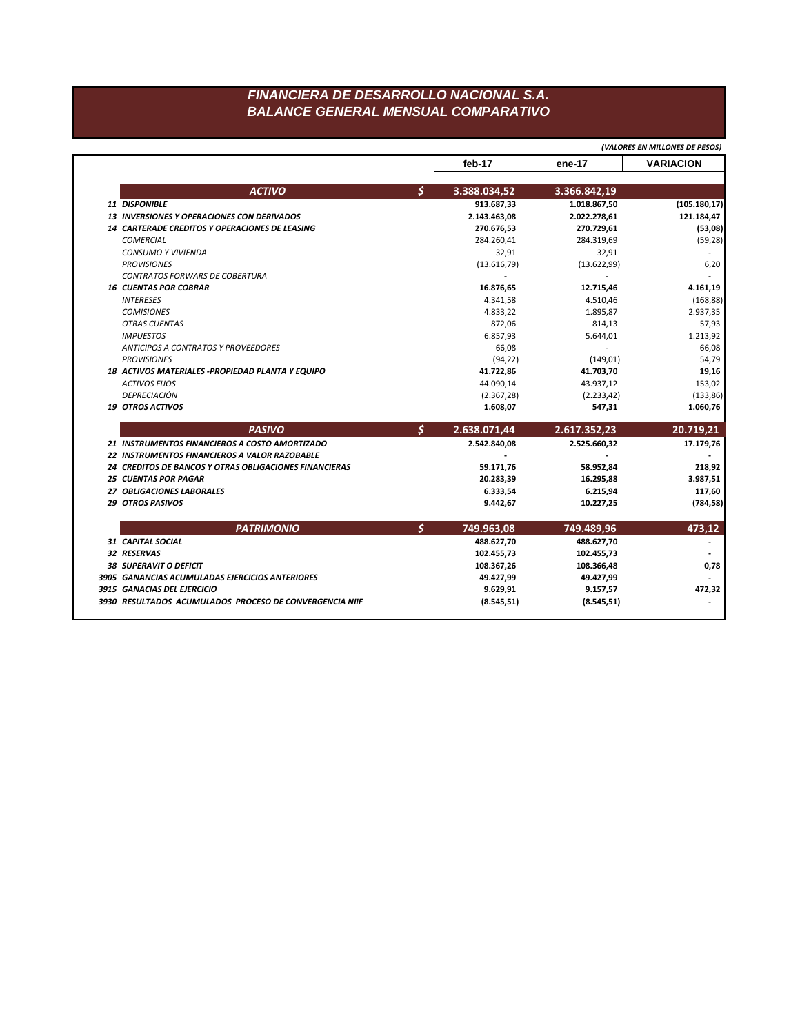## FINANCIERA DE DESARROLLO NACIONAL S.A. **BALANCE GENERAL MENSUAL COMPARATIVO**

|                                                        | (VALORES EN MILLONES DE PESOS) |                |                  |
|--------------------------------------------------------|--------------------------------|----------------|------------------|
|                                                        | feb-17                         | ene-17         | <b>VARIACION</b> |
| <b>ACTIVO</b>                                          | \$<br>3.388.034,52             | 3.366.842,19   |                  |
| 11 DISPONIBLE                                          | 913.687,33                     | 1.018.867,50   | (105.180, 17)    |
| <b>13 INVERSIONES Y OPERACIONES CON DERIVADOS</b>      | 2.143.463,08                   | 2.022.278,61   | 121.184,47       |
| <b>14 CARTERADE CREDITOS Y OPERACIONES DE LEASING</b>  | 270.676,53                     | 270.729,61     | (53,08)          |
| <b>COMERCIAL</b>                                       | 284.260,41                     | 284.319,69     | (59, 28)         |
| CONSUMO Y VIVIENDA                                     | 32,91                          | 32,91          |                  |
| <b>PROVISIONES</b>                                     | (13.616,79)                    | (13.622,99)    | 6,20             |
| <b>CONTRATOS FORWARS DE COBERTURA</b>                  |                                |                |                  |
| <b>16 CUENTAS POR COBRAR</b>                           | 16.876,65                      | 12.715,46      | 4.161,19         |
| <b>INTERESES</b>                                       | 4.341,58                       | 4.510,46       | (168, 88)        |
| <b>COMISIONES</b>                                      | 4.833,22                       | 1.895,87       | 2.937,35         |
| <b>OTRAS CUENTAS</b>                                   | 872,06                         | 814,13         | 57,93            |
| <b>IMPUESTOS</b>                                       | 6.857,93                       | 5.644,01       | 1.213,92         |
| <b>ANTICIPOS A CONTRATOS Y PROVEEDORES</b>             | 66,08                          | $\overline{a}$ | 66,08            |
| <b>PROVISIONES</b>                                     | (94, 22)                       | (149, 01)      | 54,79            |
| 18 ACTIVOS MATERIALES - PROPIEDAD PLANTA Y EQUIPO      | 41.722,86                      | 41.703,70      | 19,16            |
| <b>ACTIVOS FIJOS</b>                                   | 44.090,14                      | 43.937,12      | 153,02           |
| DEPRECIACIÓN                                           | (2.367, 28)                    | (2.233, 42)    | (133, 86)        |
| <b>19 OTROS ACTIVOS</b>                                | 1.608,07                       | 547,31         | 1.060,76         |
| <b>PASIVO</b>                                          | \$<br>2.638.071,44             | 2.617.352,23   | 20.719,21        |
| 21 INSTRUMENTOS FINANCIEROS A COSTO AMORTIZADO         | 2.542.840,08                   | 2.525.660,32   | 17.179,76        |
| 22 INSTRUMENTOS FINANCIEROS A VALOR RAZOBABLE          |                                |                |                  |
| 24 CREDITOS DE BANCOS Y OTRAS OBLIGACIONES FINANCIERAS | 59.171,76                      | 58.952,84      | 218,92           |
| <b>25 CUENTAS POR PAGAR</b>                            | 20.283,39                      | 16.295,88      | 3.987,51         |
| 27 OBLIGACIONES LABORALES                              | 6.333,54                       | 6.215,94       | 117,60           |
| 29 OTROS PASIVOS                                       | 9.442,67                       | 10.227,25      | (784, 58)        |
| <b>PATRIMONIO</b>                                      | \$<br>749.963,08               | 749.489,96     | 473,12           |
| 31 CAPITAL SOCIAL                                      | 488.627,70                     | 488.627,70     |                  |
| 32 RESERVAS                                            | 102.455,73                     | 102.455,73     |                  |
| <b>38 SUPERAVIT O DEFICIT</b>                          | 108.367,26                     | 108.366,48     | 0,78             |
|                                                        |                                |                |                  |
| 3905 GANANCIAS ACUMULADAS EJERCICIOS ANTERIORES        | 49.427,99                      | 49.427,99      |                  |
| 3915 GANACIAS DEL EJERCICIO                            | 9.629,91                       | 9.157,57       | 472,32           |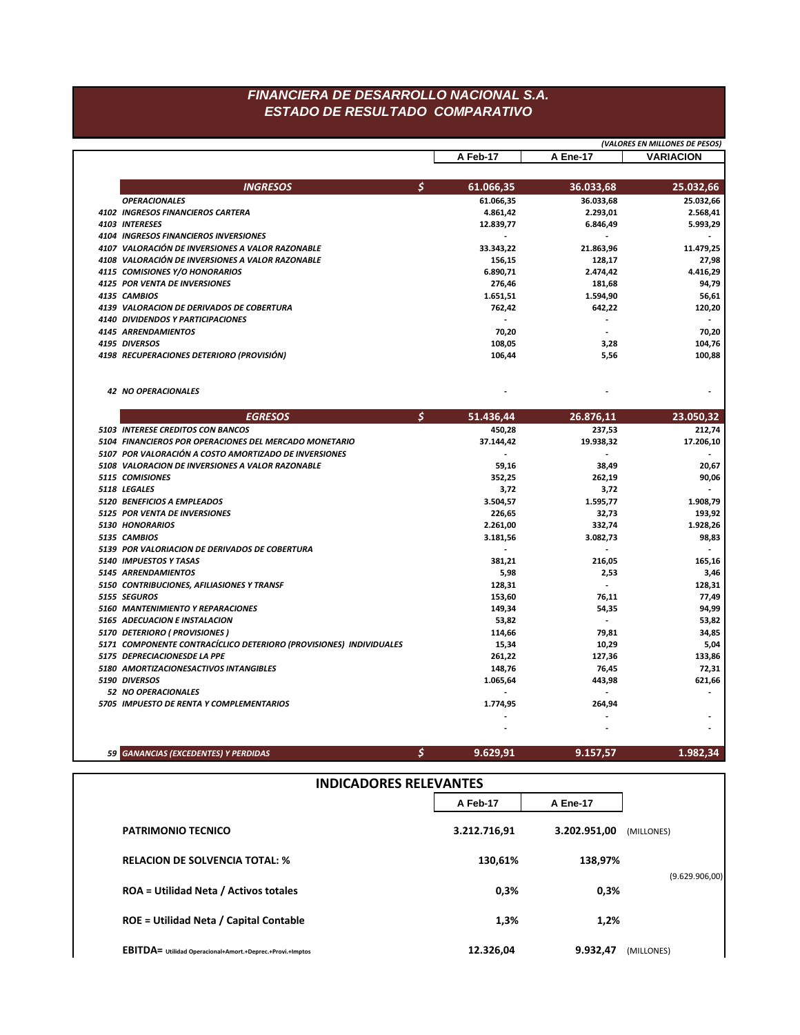## FINANCIERA DE DESARROLLO NACIONAL S.A. ESTADO DE RESULTADO COMPARATIVO

|  |                                                                                             |                                       | (VALORES EN MILLONES DE PESOS)             |                             |  |  |  |
|--|---------------------------------------------------------------------------------------------|---------------------------------------|--------------------------------------------|-----------------------------|--|--|--|
|  |                                                                                             | A Feb-17                              | A Ene-17                                   | <b>VARIACION</b>            |  |  |  |
|  |                                                                                             |                                       |                                            |                             |  |  |  |
|  | \$<br><b>INGRESOS</b>                                                                       | 61.066,35                             | 36.033,68                                  | 25.032,66                   |  |  |  |
|  | <b>OPERACIONALES</b>                                                                        | 61.066,35                             | 36.033,68                                  | 25.032,66                   |  |  |  |
|  | 4102 INGRESOS FINANCIEROS CARTERA                                                           | 4.861,42                              | 2.293,01                                   | 2.568,41                    |  |  |  |
|  | 4103 INTERESES                                                                              | 12.839,77                             | 6.846,49                                   | 5.993,29                    |  |  |  |
|  | 4104 INGRESOS FINANCIEROS INVERSIONES                                                       | $\sim$                                | $\blacksquare$                             |                             |  |  |  |
|  | 4107 VALORACIÓN DE INVERSIONES A VALOR RAZONABLE                                            | 33.343,22                             | 21.863,96                                  | 11.479,25                   |  |  |  |
|  | 4108 VALORACIÓN DE INVERSIONES A VALOR RAZONABLE                                            | 156,15                                | 128,17                                     | 27,98                       |  |  |  |
|  | 4115 COMISIONES Y/O HONORARIOS                                                              | 6.890,71                              | 2.474,42                                   | 4.416,29                    |  |  |  |
|  | 4125 POR VENTA DE INVERSIONES                                                               | 276,46                                | 181,68                                     | 94,79                       |  |  |  |
|  | 4135 CAMBIOS<br>4139 VALORACION DE DERIVADOS DE COBERTURA                                   | 1.651,51                              | 1.594,90                                   | 56,61                       |  |  |  |
|  |                                                                                             | 762,42                                | 642,22                                     | 120,20                      |  |  |  |
|  | 4140 DIVIDENDOS Y PARTICIPACIONES                                                           | $\overline{\phantom{a}}$              | $\overline{\phantom{0}}$<br>$\blacksquare$ |                             |  |  |  |
|  | 4145 ARRENDAMIENTOS<br>4195 DIVERSOS                                                        | 70,20<br>108,05                       |                                            | 70,20                       |  |  |  |
|  | 4198 RECUPERACIONES DETERIORO (PROVISIÓN)                                                   | 106,44                                | 3,28<br>5,56                               | 104,76<br>100,88            |  |  |  |
|  |                                                                                             |                                       |                                            |                             |  |  |  |
|  | 42 NO OPERACIONALES                                                                         |                                       |                                            | $\blacksquare$              |  |  |  |
|  | \$<br><b>EGRESOS</b>                                                                        | 51.436,44                             | 26.876,11                                  | 23.050,32                   |  |  |  |
|  |                                                                                             |                                       |                                            |                             |  |  |  |
|  | 5103 INTERESE CREDITOS CON BANCOS<br>5104 FINANCIEROS POR OPERACIONES DEL MERCADO MONETARIO | 450,28                                | 237,53                                     | 212,74                      |  |  |  |
|  | 5107 POR VALORACIÓN A COSTO AMORTIZADO DE INVERSIONES                                       | 37.144,42<br>$\overline{\phantom{a}}$ | 19.938,32<br>$\blacksquare$                | 17.206,10<br>$\overline{a}$ |  |  |  |
|  |                                                                                             |                                       |                                            |                             |  |  |  |
|  | 5108 VALORACION DE INVERSIONES A VALOR RAZONABLE<br>5115 COMISIONES                         | 59,16                                 | 38,49                                      | 20,67                       |  |  |  |
|  | 5118 LEGALES                                                                                | 352,25                                | 262,19                                     | 90,06<br>$\overline{a}$     |  |  |  |
|  | 5120 BENEFICIOS A EMPLEADOS                                                                 | 3,72                                  | 3,72                                       | 1.908,79                    |  |  |  |
|  | 5125 POR VENTA DE INVERSIONES                                                               | 3.504,57                              | 1.595,77                                   | 193,92                      |  |  |  |
|  | 5130 HONORARIOS                                                                             | 226,65<br>2.261,00                    | 32,73<br>332,74                            | 1.928,26                    |  |  |  |
|  | 5135 CAMBIOS                                                                                | 3.181,56                              | 3.082,73                                   | 98,83                       |  |  |  |
|  | 5139 POR VALORIACION DE DERIVADOS DE COBERTURA                                              | $\overline{\phantom{a}}$              | $\overline{\phantom{a}}$                   | $\overline{\phantom{a}}$    |  |  |  |
|  | 5140 IMPUESTOS Y TASAS                                                                      | 381,21                                | 216,05                                     | 165,16                      |  |  |  |
|  | 5145 ARRENDAMIENTOS                                                                         | 5,98                                  | 2,53                                       | 3,46                        |  |  |  |
|  | 5150 CONTRIBUCIONES, AFILIASIONES Y TRANSF                                                  | 128,31                                | $\overline{\phantom{a}}$                   | 128,31                      |  |  |  |
|  | 5155 SEGUROS                                                                                | 153,60                                | 76,11                                      | 77,49                       |  |  |  |
|  | 5160 MANTENIMIENTO Y REPARACIONES                                                           | 149,34                                | 54,35                                      | 94,99                       |  |  |  |
|  | 5165 ADECUACION E INSTALACION                                                               | 53,82                                 | $\blacksquare$                             | 53,82                       |  |  |  |
|  | 5170 DETERIORO ( PROVISIONES )                                                              | 114,66                                | 79,81                                      | 34,85                       |  |  |  |
|  | 5171 COMPONENTE CONTRACÍCLICO DETERIORO (PROVISIONES) INDIVIDUALES                          | 15,34                                 | 10,29                                      | 5,04                        |  |  |  |
|  | 5175 DEPRECIACIONESDE LA PPE                                                                | 261,22                                | 127,36                                     | 133,86                      |  |  |  |
|  | 5180 AMORTIZACIONESACTIVOS INTANGIBLES                                                      | 148,76                                | 76,45                                      | 72,31                       |  |  |  |
|  | 5190 DIVERSOS                                                                               | 1.065,64                              | 443,98                                     | 621,66                      |  |  |  |
|  | 52 NO OPERACIONALES                                                                         |                                       | $\blacksquare$                             |                             |  |  |  |
|  | 5705 IMPUESTO DE RENTA Y COMPLEMENTARIOS                                                    | 1.774,95                              | 264,94                                     |                             |  |  |  |
|  |                                                                                             | $\overline{\phantom{a}}$              | $\overline{a}$                             | $\overline{\phantom{a}}$    |  |  |  |
|  |                                                                                             |                                       |                                            |                             |  |  |  |
|  | \$<br>59 GANANCIAS (EXCEDENTES) Y PERDIDAS                                                  | 9.629,91                              | 9.157,57                                   | 1.982,34                    |  |  |  |
|  |                                                                                             |                                       |                                            |                             |  |  |  |
|  |                                                                                             | <b>INDICADORES RELEVANTES</b>         |                                            |                             |  |  |  |
|  |                                                                                             | A Feb-17                              | A Ene-17                                   |                             |  |  |  |
|  | <b>PATRIMONIO TECNICO</b>                                                                   | 3.212.716,91                          | 3.202.951,00                               | (MILLONES)                  |  |  |  |
|  | <b>RELACION DE SOLVENCIA TOTAL: %</b>                                                       | 130,61%                               | 138,97%                                    |                             |  |  |  |
|  | <b>ROA = Utilidad Neta / Activos totales</b>                                                | 0,3%                                  | 0,3%                                       | (9.629.906,00)              |  |  |  |
|  | <b>ROE = Utilidad Neta / Capital Contable</b>                                               | 1,3%                                  | 1,2%                                       |                             |  |  |  |
|  |                                                                                             |                                       |                                            |                             |  |  |  |
|  | EBITDA= Utilidad Operacional+Amort.+Deprec.+Provi.+Imptos                                   | 12.326,04                             | 9.932,47                                   | (MILLONES)                  |  |  |  |